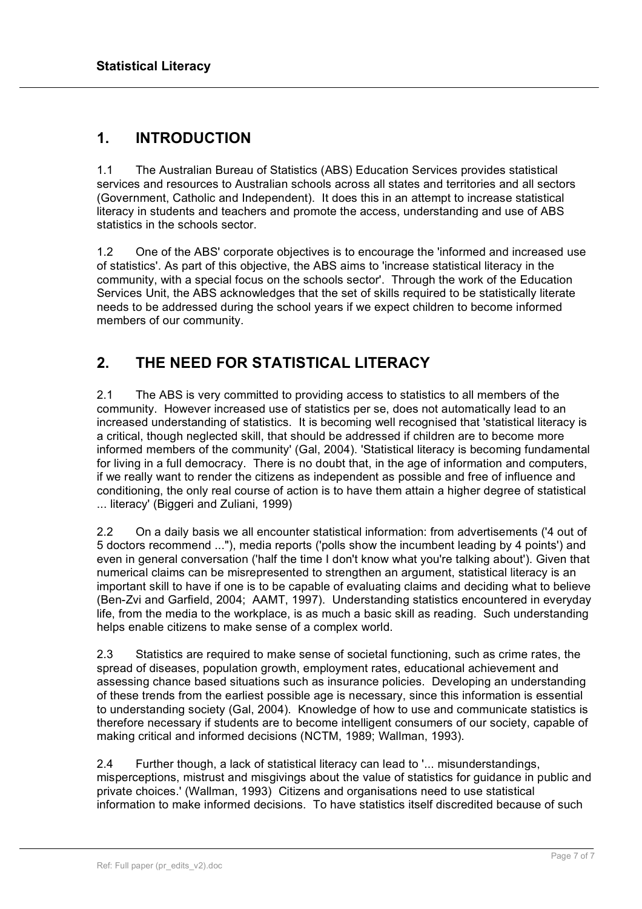## **1. INTRODUCTION**

1.1 The Australian Bureau of Statistics (ABS) Education Services provides statistical services and resources to Australian schools across all states and territories and all sectors (Government, Catholic and Independent). It does this in an attempt to increase statistical literacy in students and teachers and promote the access, understanding and use of ABS statistics in the schools sector.

1.2 One of the ABS' corporate objectives is to encourage the 'informed and increased use of statistics'. As part of this objective, the ABS aims to 'increase statistical literacy in the community, with a special focus on the schools sector'. Through the work of the Education Services Unit, the ABS acknowledges that the set of skills required to be statistically literate needs to be addressed during the school years if we expect children to become informed members of our community.

# **2. THE NEED FOR STATISTICAL LITERACY**

2.1 The ABS is very committed to providing access to statistics to all members of the community. However increased use of statistics per se, does not automatically lead to an increased understanding of statistics. It is becoming well recognised that 'statistical literacy is a critical, though neglected skill, that should be addressed if children are to become more informed members of the community' (Gal, 2004). 'Statistical literacy is becoming fundamental for living in a full democracy. There is no doubt that, in the age of information and computers, if we really want to render the citizens as independent as possible and free of influence and conditioning, the only real course of action is to have them attain a higher degree of statistical ... literacy' (Biggeri and Zuliani, 1999)

2.2 On a daily basis we all encounter statistical information: from advertisements ('4 out of 5 doctors recommend ..."), media reports ('polls show the incumbent leading by 4 points') and even in general conversation ('half the time I don't know what you're talking about'). Given that numerical claims can be misrepresented to strengthen an argument, statistical literacy is an important skill to have if one is to be capable of evaluating claims and deciding what to believe (Ben-Zvi and Garfield, 2004; AAMT, 1997). Understanding statistics encountered in everyday life, from the media to the workplace, is as much a basic skill as reading. Such understanding helps enable citizens to make sense of a complex world.

2.3 Statistics are required to make sense of societal functioning, such as crime rates, the spread of diseases, population growth, employment rates, educational achievement and assessing chance based situations such as insurance policies. Developing an understanding of these trends from the earliest possible age is necessary, since this information is essential to understanding society (Gal, 2004). Knowledge of how to use and communicate statistics is therefore necessary if students are to become intelligent consumers of our society, capable of making critical and informed decisions (NCTM, 1989; Wallman, 1993).

2.4 Further though, a lack of statistical literacy can lead to '... misunderstandings, misperceptions, mistrust and misgivings about the value of statistics for guidance in public and private choices.' (Wallman, 1993) Citizens and organisations need to use statistical information to make informed decisions. To have statistics itself discredited because of such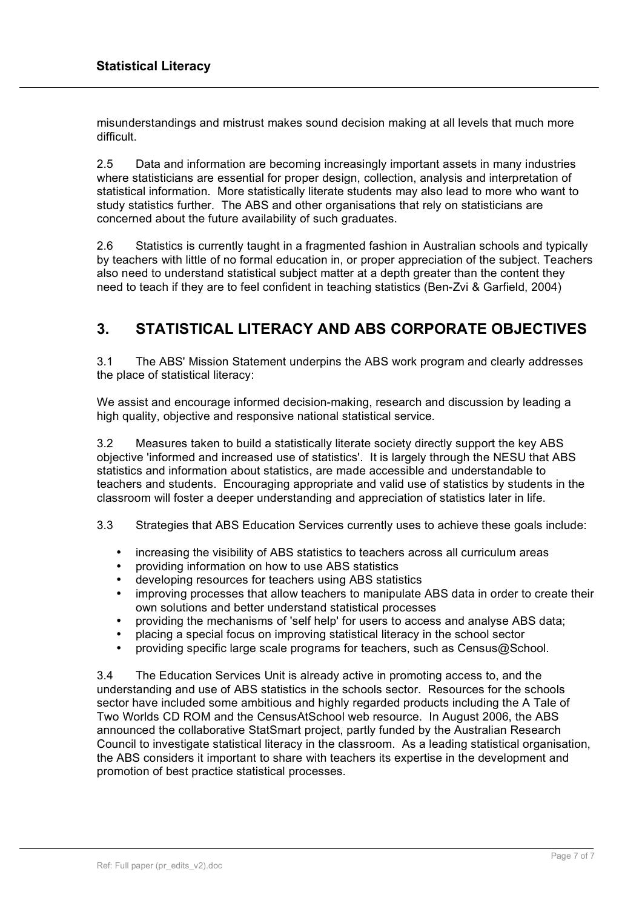misunderstandings and mistrust makes sound decision making at all levels that much more difficult.

2.5 Data and information are becoming increasingly important assets in many industries where statisticians are essential for proper design, collection, analysis and interpretation of statistical information. More statistically literate students may also lead to more who want to study statistics further. The ABS and other organisations that rely on statisticians are concerned about the future availability of such graduates.

2.6 Statistics is currently taught in a fragmented fashion in Australian schools and typically by teachers with little of no formal education in, or proper appreciation of the subject. Teachers also need to understand statistical subject matter at a depth greater than the content they need to teach if they are to feel confident in teaching statistics (Ben-Zvi & Garfield, 2004)

# **3. STATISTICAL LITERACY AND ABS CORPORATE OBJECTIVES**

3.1 The ABS' Mission Statement underpins the ABS work program and clearly addresses the place of statistical literacy:

We assist and encourage informed decision-making, research and discussion by leading a high quality, objective and responsive national statistical service.

3.2 Measures taken to build a statistically literate society directly support the key ABS objective 'informed and increased use of statistics'. It is largely through the NESU that ABS statistics and information about statistics, are made accessible and understandable to teachers and students. Encouraging appropriate and valid use of statistics by students in the classroom will foster a deeper understanding and appreciation of statistics later in life.

- 3.3 Strategies that ABS Education Services currently uses to achieve these goals include:
	- increasing the visibility of ABS statistics to teachers across all curriculum areas
	- providing information on how to use ABS statistics
	- developing resources for teachers using ABS statistics
	- improving processes that allow teachers to manipulate ABS data in order to create their own solutions and better understand statistical processes
	- providing the mechanisms of 'self help' for users to access and analyse ABS data;
	- placing a special focus on improving statistical literacy in the school sector
	- providing specific large scale programs for teachers, such as Census@School.

3.4 The Education Services Unit is already active in promoting access to, and the understanding and use of ABS statistics in the schools sector. Resources for the schools sector have included some ambitious and highly regarded products including the A Tale of Two Worlds CD ROM and the CensusAtSchool web resource. In August 2006, the ABS announced the collaborative StatSmart project, partly funded by the Australian Research Council to investigate statistical literacy in the classroom. As a leading statistical organisation, the ABS considers it important to share with teachers its expertise in the development and promotion of best practice statistical processes.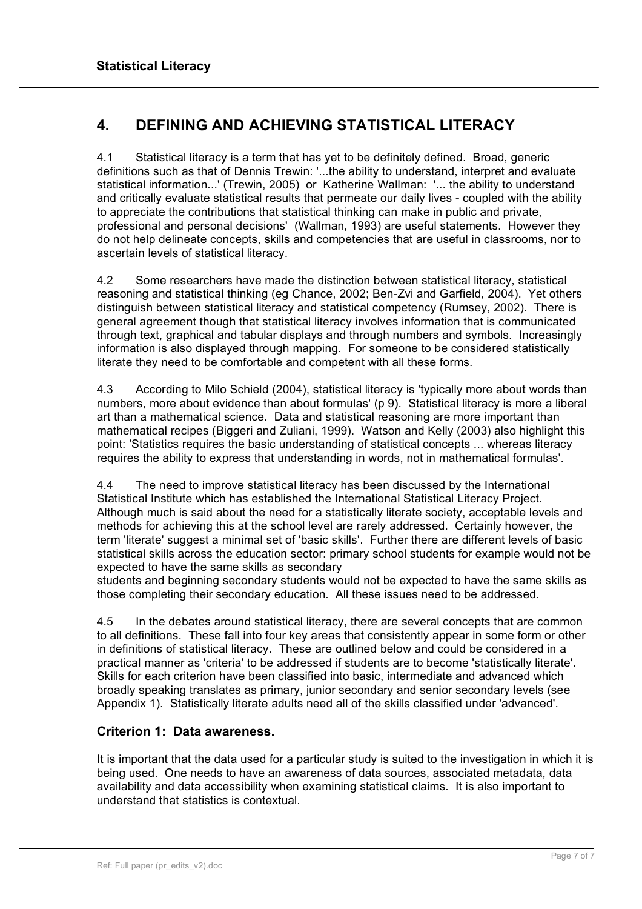## **4. DEFINING AND ACHIEVING STATISTICAL LITERACY**

4.1 Statistical literacy is a term that has yet to be definitely defined. Broad, generic definitions such as that of Dennis Trewin: '...the ability to understand, interpret and evaluate statistical information...' (Trewin, 2005) or Katherine Wallman: '... the ability to understand and critically evaluate statistical results that permeate our daily lives - coupled with the ability to appreciate the contributions that statistical thinking can make in public and private, professional and personal decisions' (Wallman, 1993) are useful statements. However they do not help delineate concepts, skills and competencies that are useful in classrooms, nor to ascertain levels of statistical literacy.

4.2 Some researchers have made the distinction between statistical literacy, statistical reasoning and statistical thinking (eg Chance, 2002; Ben-Zvi and Garfield, 2004). Yet others distinguish between statistical literacy and statistical competency (Rumsey, 2002). There is general agreement though that statistical literacy involves information that is communicated through text, graphical and tabular displays and through numbers and symbols. Increasingly information is also displayed through mapping. For someone to be considered statistically literate they need to be comfortable and competent with all these forms.

4.3 According to Milo Schield (2004), statistical literacy is 'typically more about words than numbers, more about evidence than about formulas' (p 9). Statistical literacy is more a liberal art than a mathematical science. Data and statistical reasoning are more important than mathematical recipes (Biggeri and Zuliani, 1999). Watson and Kelly (2003) also highlight this point: 'Statistics requires the basic understanding of statistical concepts ... whereas literacy requires the ability to express that understanding in words, not in mathematical formulas'.

4.4 The need to improve statistical literacy has been discussed by the International Statistical Institute which has established the International Statistical Literacy Project. Although much is said about the need for a statistically literate society, acceptable levels and methods for achieving this at the school level are rarely addressed. Certainly however, the term 'literate' suggest a minimal set of 'basic skills'. Further there are different levels of basic statistical skills across the education sector: primary school students for example would not be expected to have the same skills as secondary

students and beginning secondary students would not be expected to have the same skills as those completing their secondary education. All these issues need to be addressed.

4.5 In the debates around statistical literacy, there are several concepts that are common to all definitions. These fall into four key areas that consistently appear in some form or other in definitions of statistical literacy. These are outlined below and could be considered in a practical manner as 'criteria' to be addressed if students are to become 'statistically literate'. Skills for each criterion have been classified into basic, intermediate and advanced which broadly speaking translates as primary, junior secondary and senior secondary levels (see Appendix 1). Statistically literate adults need all of the skills classified under 'advanced'.

### **Criterion 1: Data awareness.**

It is important that the data used for a particular study is suited to the investigation in which it is being used. One needs to have an awareness of data sources, associated metadata, data availability and data accessibility when examining statistical claims. It is also important to understand that statistics is contextual.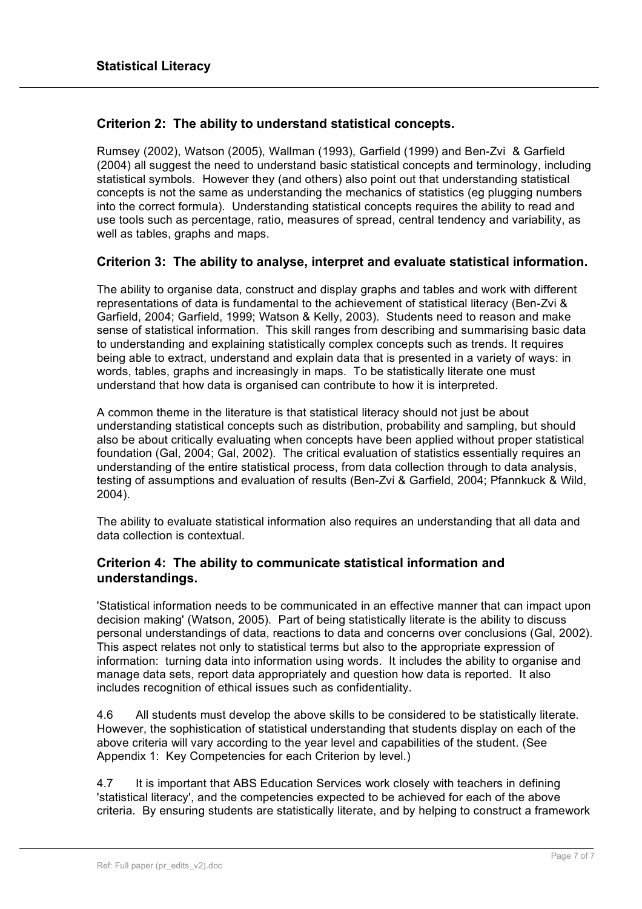### **Criterion 2: The ability to understand statistical concepts.**

Rumsey (2002), Watson (2005), Wallman (1993), Garfield (1999) and Ben-Zvi & Garfield (2004) all suggest the need to understand basic statistical concepts and terminology, including statistical symbols. However they (and others) also point out that understanding statistical concepts is not the same as understanding the mechanics of statistics (eg plugging numbers into the correct formula). Understanding statistical concepts requires the ability to read and use tools such as percentage, ratio, measures of spread, central tendency and variability, as well as tables, graphs and maps.

#### **Criterion 3: The ability to analyse, interpret and evaluate statistical information.**

The ability to organise data, construct and display graphs and tables and work with different representations of data is fundamental to the achievement of statistical literacy (Ben-Zvi & Garfield, 2004; Garfield, 1999; Watson & Kelly, 2003). Students need to reason and make sense of statistical information. This skill ranges from describing and summarising basic data to understanding and explaining statistically complex concepts such as trends. It requires being able to extract, understand and explain data that is presented in a variety of ways: in words, tables, graphs and increasingly in maps. To be statistically literate one must understand that how data is organised can contribute to how it is interpreted.

A common theme in the literature is that statistical literacy should not just be about understanding statistical concepts such as distribution, probability and sampling, but should also be about critically evaluating when concepts have been applied without proper statistical foundation (Gal, 2004; Gal, 2002). The critical evaluation of statistics essentially requires an understanding of the entire statistical process, from data collection through to data analysis, testing of assumptions and evaluation of results (Ben-Zvi & Garfield, 2004; Pfannkuck & Wild, 2004).

The ability to evaluate statistical information also requires an understanding that all data and data collection is contextual.

### **Criterion 4: The ability to communicate statistical information and understandings.**

'Statistical information needs to be communicated in an effective manner that can impact upon decision making' (Watson, 2005). Part of being statistically literate is the ability to discuss personal understandings of data, reactions to data and concerns over conclusions (Gal, 2002). This aspect relates not only to statistical terms but also to the appropriate expression of information: turning data into information using words. It includes the ability to organise and manage data sets, report data appropriately and question how data is reported. It also includes recognition of ethical issues such as confidentiality.

4.6 All students must develop the above skills to be considered to be statistically literate. However, the sophistication of statistical understanding that students display on each of the above criteria will vary according to the year level and capabilities of the student. (See Appendix 1: Key Competencies for each Criterion by level.)

4.7 It is important that ABS Education Services work closely with teachers in defining 'statistical literacy', and the competencies expected to be achieved for each of the above criteria. By ensuring students are statistically literate, and by helping to construct a framework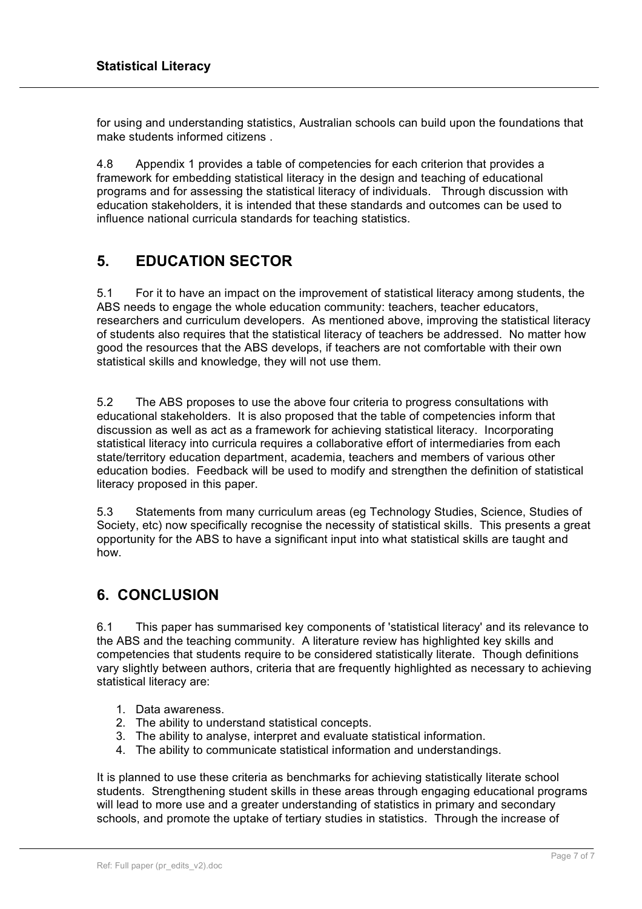for using and understanding statistics, Australian schools can build upon the foundations that make students informed citizens .

4.8 Appendix 1 provides a table of competencies for each criterion that provides a framework for embedding statistical literacy in the design and teaching of educational programs and for assessing the statistical literacy of individuals. Through discussion with education stakeholders, it is intended that these standards and outcomes can be used to influence national curricula standards for teaching statistics.

### **5. EDUCATION SECTOR**

5.1 For it to have an impact on the improvement of statistical literacy among students, the ABS needs to engage the whole education community: teachers, teacher educators, researchers and curriculum developers. As mentioned above, improving the statistical literacy of students also requires that the statistical literacy of teachers be addressed. No matter how good the resources that the ABS develops, if teachers are not comfortable with their own statistical skills and knowledge, they will not use them.

5.2 The ABS proposes to use the above four criteria to progress consultations with educational stakeholders. It is also proposed that the table of competencies inform that discussion as well as act as a framework for achieving statistical literacy. Incorporating statistical literacy into curricula requires a collaborative effort of intermediaries from each state/territory education department, academia, teachers and members of various other education bodies. Feedback will be used to modify and strengthen the definition of statistical literacy proposed in this paper.

5.3 Statements from many curriculum areas (eg Technology Studies, Science, Studies of Society, etc) now specifically recognise the necessity of statistical skills. This presents a great opportunity for the ABS to have a significant input into what statistical skills are taught and how.

### **6. CONCLUSION**

6.1 This paper has summarised key components of 'statistical literacy' and its relevance to the ABS and the teaching community. A literature review has highlighted key skills and competencies that students require to be considered statistically literate. Though definitions vary slightly between authors, criteria that are frequently highlighted as necessary to achieving statistical literacy are:

- 1. Data awareness.
- 2. The ability to understand statistical concepts.
- 3. The ability to analyse, interpret and evaluate statistical information.
- 4. The ability to communicate statistical information and understandings.

It is planned to use these criteria as benchmarks for achieving statistically literate school students. Strengthening student skills in these areas through engaging educational programs will lead to more use and a greater understanding of statistics in primary and secondary schools, and promote the uptake of tertiary studies in statistics. Through the increase of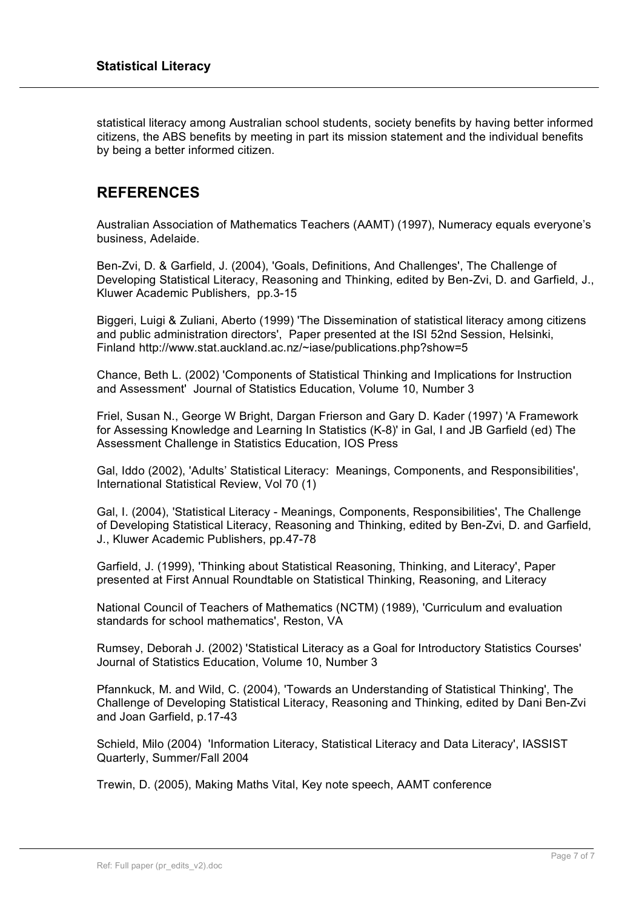statistical literacy among Australian school students, society benefits by having better informed citizens, the ABS benefits by meeting in part its mission statement and the individual benefits by being a better informed citizen.

### **REFERENCES**

Australian Association of Mathematics Teachers (AAMT) (1997), Numeracy equals everyone's business, Adelaide.

Ben-Zvi, D. & Garfield, J. (2004), 'Goals, Definitions, And Challenges', The Challenge of Developing Statistical Literacy, Reasoning and Thinking, edited by Ben-Zvi, D. and Garfield, J., Kluwer Academic Publishers, pp.3-15

Biggeri, Luigi & Zuliani, Aberto (1999) 'The Dissemination of statistical literacy among citizens and public administration directors', Paper presented at the ISI 52nd Session, Helsinki, Finland http://www.stat.auckland.ac.nz/~iase/publications.php?show=5

Chance, Beth L. (2002) 'Components of Statistical Thinking and Implications for Instruction and Assessment' Journal of Statistics Education, Volume 10, Number 3

Friel, Susan N., George W Bright, Dargan Frierson and Gary D. Kader (1997) 'A Framework for Assessing Knowledge and Learning In Statistics (K-8)' in Gal, I and JB Garfield (ed) The Assessment Challenge in Statistics Education, IOS Press

Gal, Iddo (2002), 'Adults' Statistical Literacy: Meanings, Components, and Responsibilities', International Statistical Review, Vol 70 (1)

Gal, I. (2004), 'Statistical Literacy - Meanings, Components, Responsibilities', The Challenge of Developing Statistical Literacy, Reasoning and Thinking, edited by Ben-Zvi, D. and Garfield, J., Kluwer Academic Publishers, pp.47-78

Garfield, J. (1999), 'Thinking about Statistical Reasoning, Thinking, and Literacy', Paper presented at First Annual Roundtable on Statistical Thinking, Reasoning, and Literacy

National Council of Teachers of Mathematics (NCTM) (1989), 'Curriculum and evaluation standards for school mathematics', Reston, VA

Rumsey, Deborah J. (2002) 'Statistical Literacy as a Goal for Introductory Statistics Courses' Journal of Statistics Education, Volume 10, Number 3

Pfannkuck, M. and Wild, C. (2004), 'Towards an Understanding of Statistical Thinking', The Challenge of Developing Statistical Literacy, Reasoning and Thinking, edited by Dani Ben-Zvi and Joan Garfield, p.17-43

Schield, Milo (2004) 'Information Literacy, Statistical Literacy and Data Literacy', IASSIST Quarterly, Summer/Fall 2004

Trewin, D. (2005), Making Maths Vital, Key note speech, AAMT conference